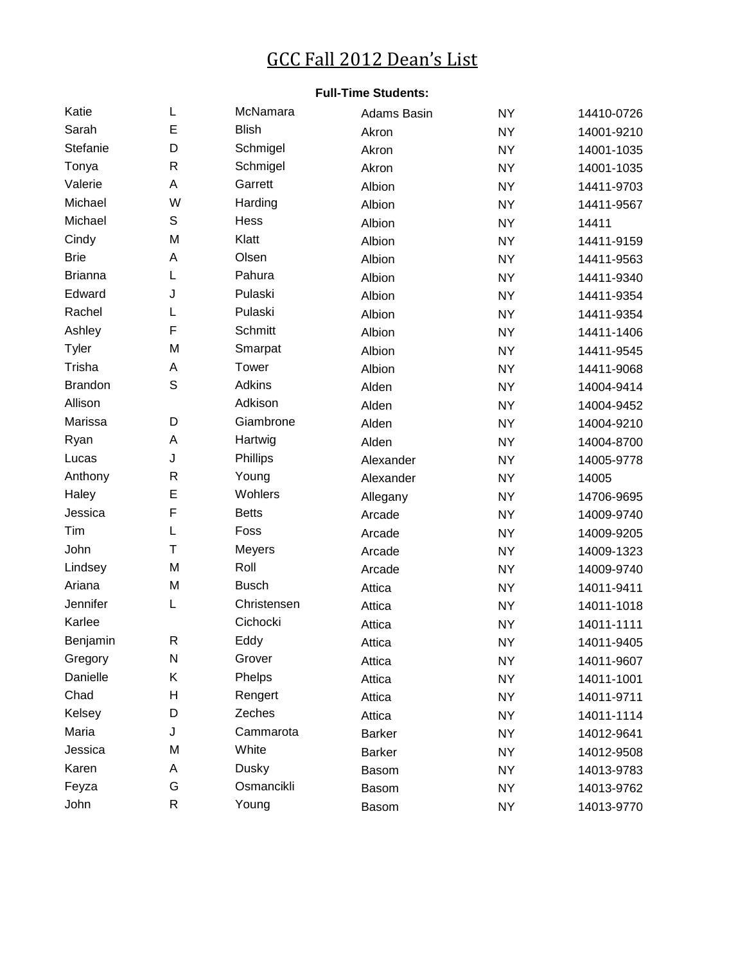## GCC Fall 2012 Dean's List

## **Full-Time Students:**

| Katie          | L           | McNamara     | Adams Basin   | <b>NY</b> | 14410-0726 |
|----------------|-------------|--------------|---------------|-----------|------------|
| Sarah          | E           | <b>Blish</b> | Akron         | <b>NY</b> | 14001-9210 |
| Stefanie       | D           | Schmigel     | Akron         | <b>NY</b> | 14001-1035 |
| Tonya          | R           | Schmigel     | Akron         | <b>NY</b> | 14001-1035 |
| Valerie        | A           | Garrett      | Albion        | <b>NY</b> | 14411-9703 |
| Michael        | W           | Harding      | Albion        | <b>NY</b> | 14411-9567 |
| Michael        | S           | Hess         | Albion        | <b>NY</b> | 14411      |
| Cindy          | M           | Klatt        | Albion        | <b>NY</b> | 14411-9159 |
| <b>Brie</b>    | A           | Olsen        | Albion        | <b>NY</b> | 14411-9563 |
| <b>Brianna</b> | L           | Pahura       | Albion        | <b>NY</b> | 14411-9340 |
| Edward         | J           | Pulaski      | Albion        | <b>NY</b> | 14411-9354 |
| Rachel         | L           | Pulaski      | Albion        | <b>NY</b> | 14411-9354 |
| Ashley         | F           | Schmitt      | Albion        | <b>NY</b> | 14411-1406 |
| Tyler          | M           | Smarpat      | Albion        | <b>NY</b> | 14411-9545 |
| Trisha         | А           | Tower        | Albion        | <b>NY</b> | 14411-9068 |
| <b>Brandon</b> | $\mathsf S$ | Adkins       | Alden         | <b>NY</b> | 14004-9414 |
| Allison        |             | Adkison      | Alden         | <b>NY</b> | 14004-9452 |
| Marissa        | D           | Giambrone    | Alden         | <b>NY</b> | 14004-9210 |
| Ryan           | A           | Hartwig      | Alden         | <b>NY</b> | 14004-8700 |
| Lucas          | J           | Phillips     | Alexander     | <b>NY</b> | 14005-9778 |
| Anthony        | R           | Young        | Alexander     | <b>NY</b> | 14005      |
| Haley          | E           | Wohlers      | Allegany      | <b>NY</b> | 14706-9695 |
| Jessica        | F           | <b>Betts</b> | Arcade        | <b>NY</b> | 14009-9740 |
| Tim            | L           | Foss         | Arcade        | <b>NY</b> | 14009-9205 |
| John           | T           | Meyers       | Arcade        | <b>NY</b> | 14009-1323 |
| Lindsey        | M           | Roll         | Arcade        | <b>NY</b> | 14009-9740 |
| Ariana         | M           | <b>Busch</b> | Attica        | <b>NY</b> | 14011-9411 |
| Jennifer       | L           | Christensen  | Attica        | <b>NY</b> | 14011-1018 |
| Karlee         |             | Cichocki     | Attica        | <b>NY</b> | 14011-1111 |
| Benjamin       | R           | Eddy         | Attica        | <b>NY</b> | 14011-9405 |
| Gregory        | N           | Grover       | Attica        | <b>NY</b> | 14011-9607 |
| Danielle       | Κ           | Phelps       | Attica        | <b>NY</b> | 14011-1001 |
| Chad           | Η           | Rengert      | Attica        | <b>NY</b> | 14011-9711 |
| Kelsey         | D           | Zeches       | Attica        | <b>NY</b> | 14011-1114 |
| Maria          | J           | Cammarota    | <b>Barker</b> | <b>NY</b> | 14012-9641 |
| Jessica        | M           | White        | <b>Barker</b> | <b>NY</b> | 14012-9508 |
| Karen          | Α           | Dusky        | <b>Basom</b>  | <b>NY</b> | 14013-9783 |
| Feyza          | G           | Osmancikli   | Basom         | <b>NY</b> | 14013-9762 |
| John           | R           | Young        | Basom         | <b>NY</b> | 14013-9770 |
|                |             |              |               |           |            |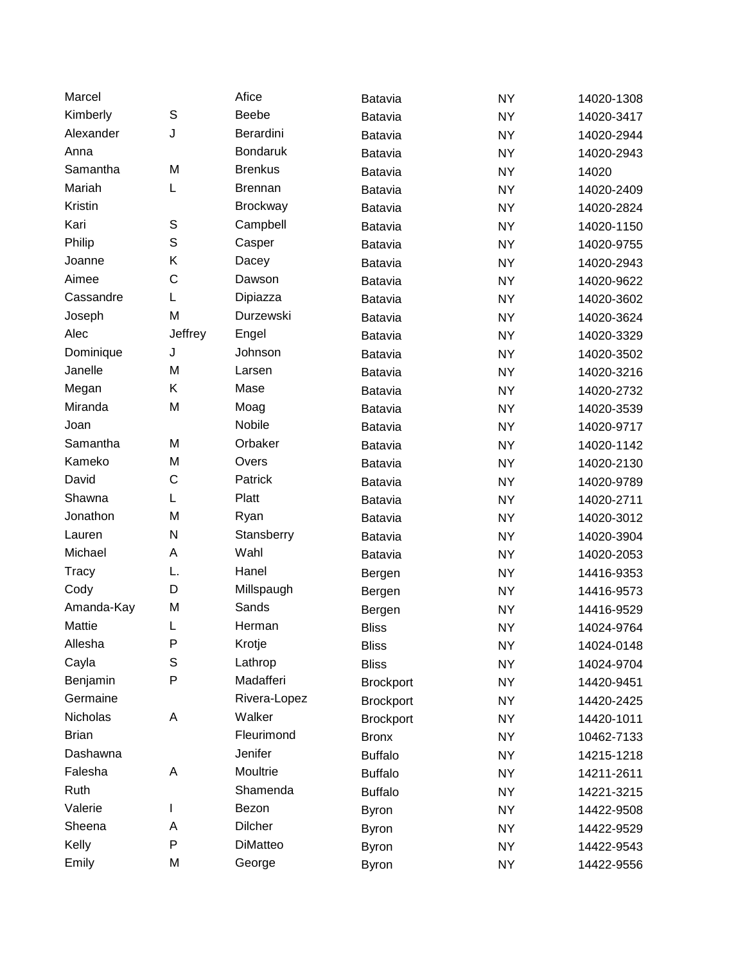| Marcel       |             | Afice           | <b>Batavia</b>   | <b>NY</b> | 14020-1308 |
|--------------|-------------|-----------------|------------------|-----------|------------|
| Kimberly     | S           | <b>Beebe</b>    | Batavia          | <b>NY</b> | 14020-3417 |
| Alexander    | J           | Berardini       | Batavia          | <b>NY</b> | 14020-2944 |
| Anna         |             | <b>Bondaruk</b> | Batavia          | <b>NY</b> | 14020-2943 |
| Samantha     | M           | <b>Brenkus</b>  | <b>Batavia</b>   | <b>NY</b> | 14020      |
| Mariah       | L           | <b>Brennan</b>  | Batavia          | <b>NY</b> | 14020-2409 |
| Kristin      |             | <b>Brockway</b> | Batavia          | <b>NY</b> | 14020-2824 |
| Kari         | S           | Campbell        | Batavia          | <b>NY</b> | 14020-1150 |
| Philip       | S           | Casper          | Batavia          | <b>NY</b> | 14020-9755 |
| Joanne       | Κ           | Dacey           | Batavia          | <b>NY</b> | 14020-2943 |
| Aimee        | C           | Dawson          | Batavia          | <b>NY</b> | 14020-9622 |
| Cassandre    | L           | Dipiazza        | Batavia          | <b>NY</b> | 14020-3602 |
| Joseph       | M           | Durzewski       | <b>Batavia</b>   | <b>NY</b> | 14020-3624 |
| Alec         | Jeffrey     | Engel           | Batavia          | <b>NY</b> | 14020-3329 |
| Dominique    | J           | Johnson         | Batavia          | <b>NY</b> | 14020-3502 |
| Janelle      | M           | Larsen          | Batavia          | <b>NY</b> | 14020-3216 |
| Megan        | Κ           | Mase            | Batavia          | <b>NY</b> | 14020-2732 |
| Miranda      | M           | Moag            | Batavia          | <b>NY</b> | 14020-3539 |
| Joan         |             | Nobile          | Batavia          | <b>NY</b> | 14020-9717 |
| Samantha     | M           | Orbaker         | Batavia          | <b>NY</b> | 14020-1142 |
| Kameko       | M           | Overs           | <b>Batavia</b>   | <b>NY</b> | 14020-2130 |
| David        | C           | Patrick         | Batavia          | <b>NY</b> | 14020-9789 |
| Shawna       | L           | Platt           | Batavia          | <b>NY</b> | 14020-2711 |
| Jonathon     | M           | Ryan            | Batavia          | <b>NY</b> | 14020-3012 |
| Lauren       | N           | Stansberry      | Batavia          | <b>NY</b> | 14020-3904 |
| Michael      | Α           | Wahl            | Batavia          | <b>NY</b> | 14020-2053 |
| Tracy        | L.          | Hanel           | Bergen           | <b>NY</b> | 14416-9353 |
| Cody         | D           | Millspaugh      | Bergen           | <b>NY</b> | 14416-9573 |
| Amanda-Kay   | M           | Sands           | Bergen           | <b>NY</b> | 14416-9529 |
| Mattie       | L           | Herman          | <b>Bliss</b>     | <b>NY</b> | 14024-9764 |
| Allesha      | P           | Krotje          | <b>Bliss</b>     | <b>NY</b> | 14024-0148 |
| Cayla        | $\mathbb S$ | Lathrop         | <b>Bliss</b>     | <b>NY</b> | 14024-9704 |
| Benjamin     | P           | Madafferi       | <b>Brockport</b> | <b>NY</b> | 14420-9451 |
| Germaine     |             | Rivera-Lopez    | <b>Brockport</b> | <b>NY</b> | 14420-2425 |
| Nicholas     | A           | Walker          | <b>Brockport</b> | <b>NY</b> | 14420-1011 |
| <b>Brian</b> |             | Fleurimond      | <b>Bronx</b>     | <b>NY</b> | 10462-7133 |
| Dashawna     |             | Jenifer         | <b>Buffalo</b>   | <b>NY</b> | 14215-1218 |
| Falesha      | А           | Moultrie        | <b>Buffalo</b>   | <b>NY</b> | 14211-2611 |
| Ruth         |             | Shamenda        | <b>Buffalo</b>   | <b>NY</b> | 14221-3215 |
| Valerie      | L           | Bezon           | <b>Byron</b>     | <b>NY</b> | 14422-9508 |
| Sheena       | Α           | <b>Dilcher</b>  | <b>Byron</b>     | <b>NY</b> | 14422-9529 |
| Kelly        | P           | DiMatteo        | <b>Byron</b>     | <b>NY</b> | 14422-9543 |
| Emily        | M           | George          | <b>Byron</b>     | <b>NY</b> | 14422-9556 |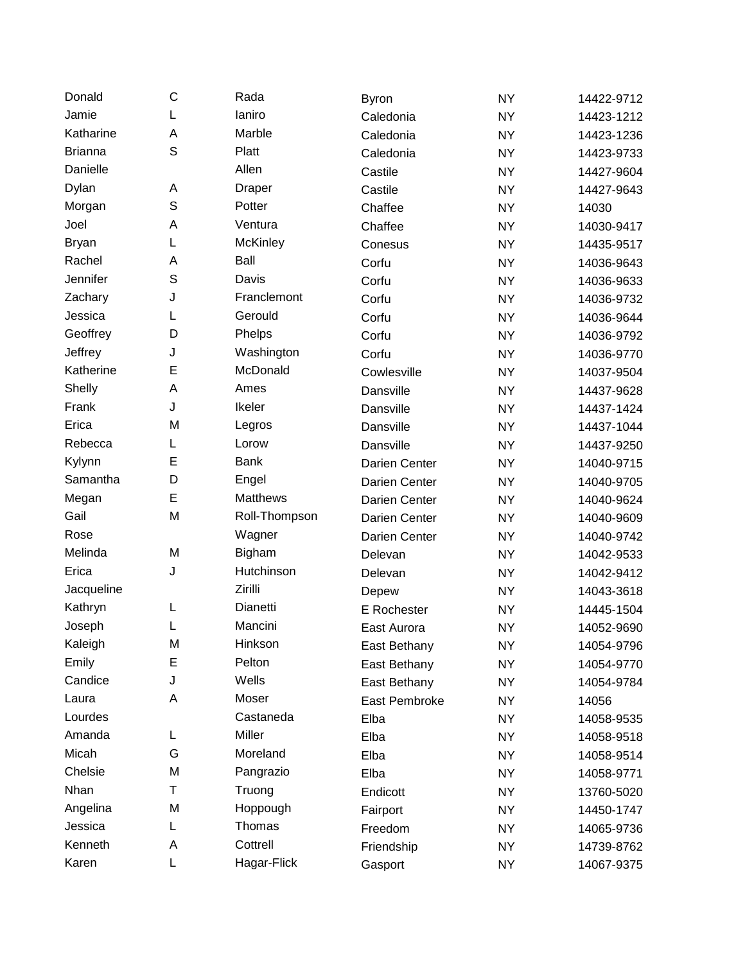| Donald         | С           | Rada            | Byron         | <b>NY</b> | 14422-9712 |
|----------------|-------------|-----------------|---------------|-----------|------------|
| Jamie          | L           | laniro          | Caledonia     | <b>NY</b> | 14423-1212 |
| Katharine      | A           | Marble          | Caledonia     | <b>NY</b> | 14423-1236 |
| <b>Brianna</b> | S           | Platt           | Caledonia     | <b>NY</b> | 14423-9733 |
| Danielle       |             | Allen           | Castile       | <b>NY</b> | 14427-9604 |
| Dylan          | A           | <b>Draper</b>   | Castile       | <b>NY</b> | 14427-9643 |
| Morgan         | $\mathbb S$ | Potter          | Chaffee       | <b>NY</b> | 14030      |
| Joel           | A           | Ventura         | Chaffee       | <b>NY</b> | 14030-9417 |
| <b>Bryan</b>   | L           | <b>McKinley</b> | Conesus       | <b>NY</b> | 14435-9517 |
| Rachel         | A           | Ball            | Corfu         | <b>NY</b> | 14036-9643 |
| Jennifer       | S           | Davis           | Corfu         | <b>NY</b> | 14036-9633 |
| Zachary        | J           | Franclemont     | Corfu         | <b>NY</b> | 14036-9732 |
| Jessica        | L           | Gerould         | Corfu         | <b>NY</b> | 14036-9644 |
| Geoffrey       | D           | Phelps          | Corfu         | <b>NY</b> | 14036-9792 |
| Jeffrey        | J           | Washington      | Corfu         | <b>NY</b> | 14036-9770 |
| Katherine      | E           | McDonald        | Cowlesville   | <b>NY</b> | 14037-9504 |
| Shelly         | A           | Ames            | Dansville     | <b>NY</b> | 14437-9628 |
| Frank          | J           | Ikeler          | Dansville     | <b>NY</b> | 14437-1424 |
| Erica          | M           | Legros          | Dansville     | <b>NY</b> | 14437-1044 |
| Rebecca        | L           | Lorow           | Dansville     | <b>NY</b> | 14437-9250 |
| Kylynn         | E           | <b>Bank</b>     | Darien Center | <b>NY</b> | 14040-9715 |
| Samantha       | D           | Engel           | Darien Center | <b>NY</b> | 14040-9705 |
| Megan          | E           | <b>Matthews</b> | Darien Center | <b>NY</b> | 14040-9624 |
| Gail           | M           | Roll-Thompson   | Darien Center | <b>NY</b> | 14040-9609 |
| Rose           |             | Wagner          | Darien Center | <b>NY</b> | 14040-9742 |
| Melinda        | M           | Bigham          | Delevan       | <b>NY</b> | 14042-9533 |
| Erica          | J           | Hutchinson      | Delevan       | <b>NY</b> | 14042-9412 |
| Jacqueline     |             | Zirilli         | Depew         | <b>NY</b> | 14043-3618 |
| Kathryn        | L           | Dianetti        | E Rochester   | <b>NY</b> | 14445-1504 |
| Joseph         | L           | Mancini         | East Aurora   | <b>NY</b> | 14052-9690 |
| Kaleigh        | M           | Hinkson         | East Bethany  | <b>NY</b> | 14054-9796 |
| Emily          | E           | Pelton          | East Bethany  | <b>NY</b> | 14054-9770 |
| Candice        | J           | Wells           | East Bethany  | NY        | 14054-9784 |
| Laura          | A           | Moser           | East Pembroke | <b>NY</b> | 14056      |
| Lourdes        |             | Castaneda       | Elba          | <b>NY</b> | 14058-9535 |
| Amanda         | L           | Miller          | Elba          | <b>NY</b> | 14058-9518 |
| Micah          | G           | Moreland        | Elba          | NY        | 14058-9514 |
| Chelsie        | M           | Pangrazio       | Elba          | <b>NY</b> | 14058-9771 |
| Nhan           | Τ           | Truong          | Endicott      | <b>NY</b> | 13760-5020 |
| Angelina       | M           | Hoppough        | Fairport      | <b>NY</b> | 14450-1747 |
| Jessica        | L           | Thomas          | Freedom       | NY.       | 14065-9736 |
| Kenneth        | Α           | Cottrell        | Friendship    | <b>NY</b> | 14739-8762 |
| Karen          | L           | Hagar-Flick     | Gasport       | <b>NY</b> | 14067-9375 |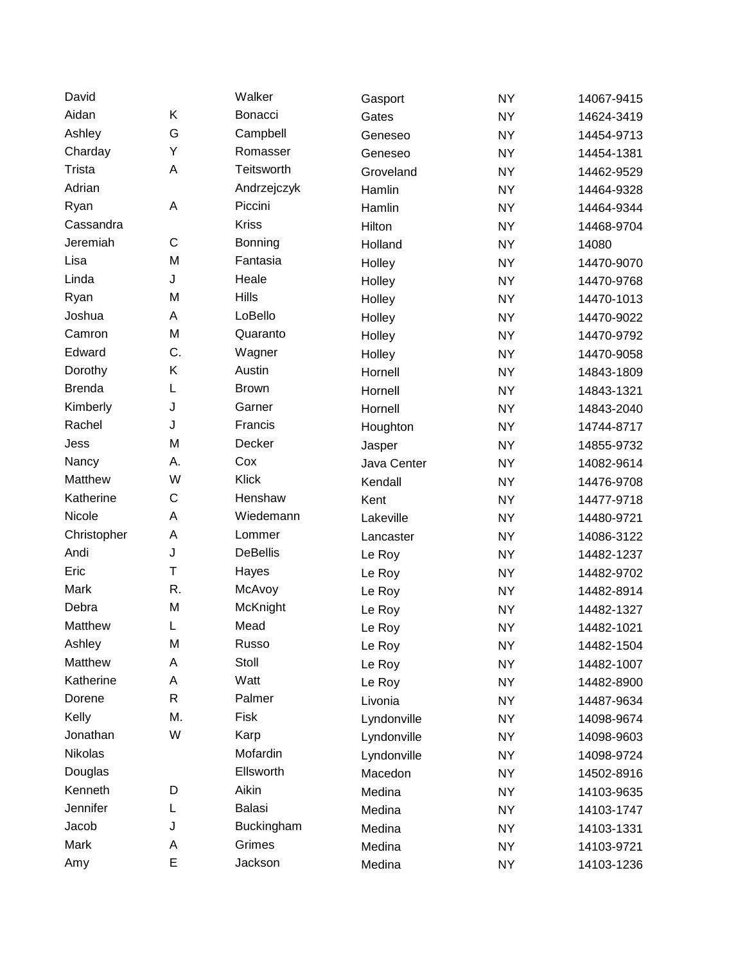| David         |             | Walker          | Gasport     | <b>NY</b> | 14067-9415 |
|---------------|-------------|-----------------|-------------|-----------|------------|
| Aidan         | Κ           | Bonacci         | Gates       | <b>NY</b> | 14624-3419 |
| Ashley        | G           | Campbell        | Geneseo     | <b>NY</b> | 14454-9713 |
| Charday       | Υ           | Romasser        | Geneseo     | <b>NY</b> | 14454-1381 |
| Trista        | A           | Teitsworth      | Groveland   | <b>NY</b> | 14462-9529 |
| Adrian        |             | Andrzejczyk     | Hamlin      | <b>NY</b> | 14464-9328 |
| Ryan          | A           | Piccini         | Hamlin      | <b>NY</b> | 14464-9344 |
| Cassandra     |             | <b>Kriss</b>    | Hilton      | <b>NY</b> | 14468-9704 |
| Jeremiah      | C           | Bonning         | Holland     | <b>NY</b> | 14080      |
| Lisa          | M           | Fantasia        | Holley      | <b>NY</b> | 14470-9070 |
| Linda         | J           | Heale           | Holley      | <b>NY</b> | 14470-9768 |
| Ryan          | M           | <b>Hills</b>    | Holley      | <b>NY</b> | 14470-1013 |
| Joshua        | A           | LoBello         | Holley      | <b>NY</b> | 14470-9022 |
| Camron        | M           | Quaranto        | Holley      | <b>NY</b> | 14470-9792 |
| Edward        | C.          | Wagner          | Holley      | <b>NY</b> | 14470-9058 |
| Dorothy       | Κ           | Austin          | Hornell     | <b>NY</b> | 14843-1809 |
| <b>Brenda</b> | L           | <b>Brown</b>    | Hornell     | <b>NY</b> | 14843-1321 |
| Kimberly      | J           | Garner          | Hornell     | <b>NY</b> | 14843-2040 |
| Rachel        | J           | Francis         | Houghton    | <b>NY</b> | 14744-8717 |
| Jess          | M           | Decker          | Jasper      | <b>NY</b> | 14855-9732 |
| Nancy         | Α.          | Cox             | Java Center | <b>NY</b> | 14082-9614 |
| Matthew       | W           | Klick           | Kendall     | <b>NY</b> | 14476-9708 |
| Katherine     | C           | Henshaw         | Kent        | <b>NY</b> | 14477-9718 |
| Nicole        | A           | Wiedemann       | Lakeville   | <b>NY</b> | 14480-9721 |
| Christopher   | A           | Lommer          | Lancaster   | <b>NY</b> | 14086-3122 |
| Andi          | J           | <b>DeBellis</b> | Le Roy      | <b>NY</b> | 14482-1237 |
| Eric          | $\mathsf T$ | Hayes           | Le Roy      | <b>NY</b> | 14482-9702 |
| Mark          | R.          | McAvoy          | Le Roy      | <b>NY</b> | 14482-8914 |
| Debra         | M           | McKnight        | Le Roy      | <b>NY</b> | 14482-1327 |
| Matthew       | L           | Mead            | Le Roy      | <b>NY</b> | 14482-1021 |
| Ashley        | M           | Russo           | Le Roy      | <b>NY</b> | 14482-1504 |
| Matthew       | Α           | Stoll           | Le Roy      | <b>NY</b> | 14482-1007 |
| Katherine     | A           | Watt            | Le Roy      | NY.       | 14482-8900 |
| Dorene        | R           | Palmer          | Livonia     | <b>NY</b> | 14487-9634 |
| Kelly         | M.          | Fisk            | Lyndonville | NY.       | 14098-9674 |
| Jonathan      | W           | Karp            | Lyndonville | <b>NY</b> | 14098-9603 |
| Nikolas       |             | Mofardin        | Lyndonville | NY.       | 14098-9724 |
| Douglas       |             | Ellsworth       | Macedon     | <b>NY</b> | 14502-8916 |
| Kenneth       | D           | Aikin           | Medina      | NY.       | 14103-9635 |
| Jennifer      | L           | Balasi          | Medina      | <b>NY</b> | 14103-1747 |
| Jacob         | J           | Buckingham      | Medina      | NY.       | 14103-1331 |
| Mark          | Α           | Grimes          | Medina      | <b>NY</b> | 14103-9721 |
| Amy           | E           | Jackson         | Medina      | <b>NY</b> | 14103-1236 |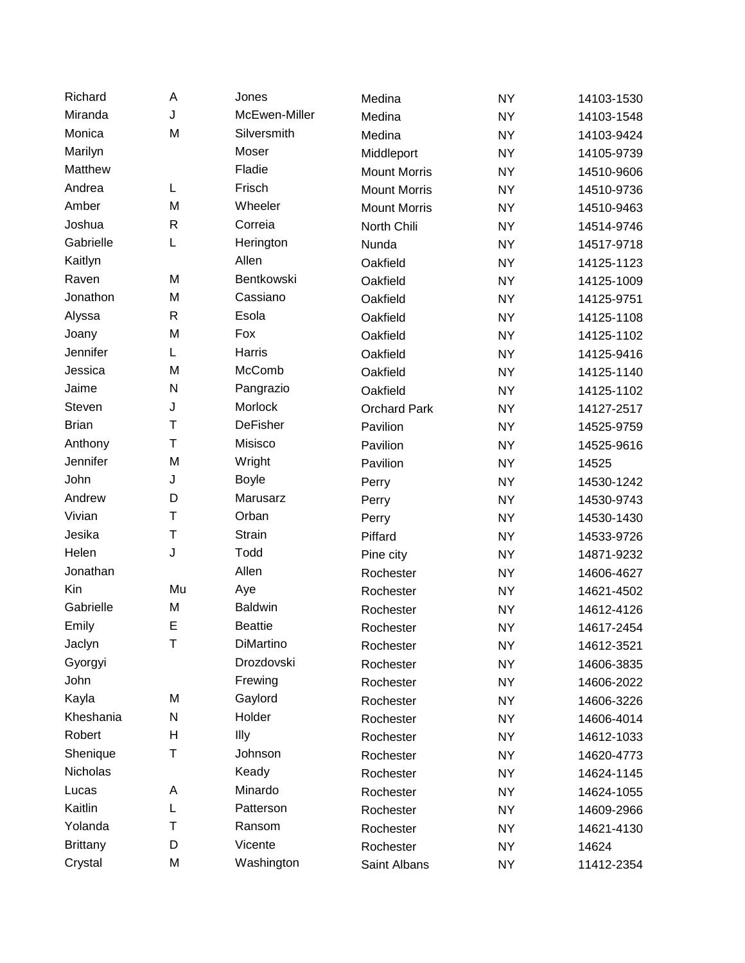| Richard         | A            | Jones           | Medina              | <b>NY</b> | 14103-1530 |
|-----------------|--------------|-----------------|---------------------|-----------|------------|
| Miranda         | J            | McEwen-Miller   | Medina              | <b>NY</b> | 14103-1548 |
| Monica          | M            | Silversmith     | Medina              | <b>NY</b> | 14103-9424 |
| Marilyn         |              | Moser           | Middleport          | <b>NY</b> | 14105-9739 |
| Matthew         |              | Fladie          | <b>Mount Morris</b> | <b>NY</b> | 14510-9606 |
| Andrea          | L            | Frisch          | <b>Mount Morris</b> | <b>NY</b> | 14510-9736 |
| Amber           | M            | Wheeler         | <b>Mount Morris</b> | <b>NY</b> | 14510-9463 |
| Joshua          | $\mathsf{R}$ | Correia         | North Chili         | <b>NY</b> | 14514-9746 |
| Gabrielle       | L            | Herington       | Nunda               | <b>NY</b> | 14517-9718 |
| Kaitlyn         |              | Allen           | Oakfield            | <b>NY</b> | 14125-1123 |
| Raven           | M            | Bentkowski      | Oakfield            | <b>NY</b> | 14125-1009 |
| Jonathon        | M            | Cassiano        | Oakfield            | <b>NY</b> | 14125-9751 |
| Alyssa          | $\mathsf{R}$ | Esola           | Oakfield            | <b>NY</b> | 14125-1108 |
| Joany           | M            | Fox             | Oakfield            | <b>NY</b> | 14125-1102 |
| Jennifer        | L            | Harris          | Oakfield            | <b>NY</b> | 14125-9416 |
| Jessica         | M            | McComb          | Oakfield            | <b>NY</b> | 14125-1140 |
| Jaime           | N            | Pangrazio       | Oakfield            | <b>NY</b> | 14125-1102 |
| Steven          | J            | Morlock         | <b>Orchard Park</b> | <b>NY</b> | 14127-2517 |
| <b>Brian</b>    | T            | <b>DeFisher</b> | Pavilion            | <b>NY</b> | 14525-9759 |
| Anthony         | T            | Misisco         | Pavilion            | <b>NY</b> | 14525-9616 |
| Jennifer        | M            | Wright          | Pavilion            | <b>NY</b> | 14525      |
| John            | J            | <b>Boyle</b>    | Perry               | <b>NY</b> | 14530-1242 |
| Andrew          | D            | Marusarz        | Perry               | <b>NY</b> | 14530-9743 |
| Vivian          | Τ            | Orban           | Perry               | <b>NY</b> | 14530-1430 |
| Jesika          | T            | <b>Strain</b>   | Piffard             | <b>NY</b> | 14533-9726 |
| Helen           | J            | Todd            | Pine city           | <b>NY</b> | 14871-9232 |
| Jonathan        |              | Allen           | Rochester           | <b>NY</b> | 14606-4627 |
| Kin             | Mu           | Aye             | Rochester           | <b>NY</b> | 14621-4502 |
| Gabrielle       | M            | <b>Baldwin</b>  | Rochester           | <b>NY</b> | 14612-4126 |
| Emily           | E            | <b>Beattie</b>  | Rochester           | <b>NY</b> | 14617-2454 |
| Jaclyn          | T            | DiMartino       | Rochester           | <b>NY</b> | 14612-3521 |
| Gyorgyi         |              | Drozdovski      | Rochester           | <b>NY</b> | 14606-3835 |
| John            |              | Frewing         | Rochester           | NY.       | 14606-2022 |
| Kayla           | M            | Gaylord         | Rochester           | <b>NY</b> | 14606-3226 |
| Kheshania       | N            | Holder          | Rochester           | NY.       | 14606-4014 |
| Robert          | н            | Illy            | Rochester           | <b>NY</b> | 14612-1033 |
| Shenique        | Τ            | Johnson         | Rochester           | NY.       | 14620-4773 |
| Nicholas        |              | Keady           | Rochester           | <b>NY</b> | 14624-1145 |
| Lucas           | Α            | Minardo         | Rochester           | <b>NY</b> | 14624-1055 |
| Kaitlin         | L            | Patterson       | Rochester           | <b>NY</b> | 14609-2966 |
| Yolanda         | T            | Ransom          | Rochester           | NY.       | 14621-4130 |
| <b>Brittany</b> | D            | Vicente         | Rochester           | <b>NY</b> | 14624      |
| Crystal         | M            | Washington      | Saint Albans        | <b>NY</b> | 11412-2354 |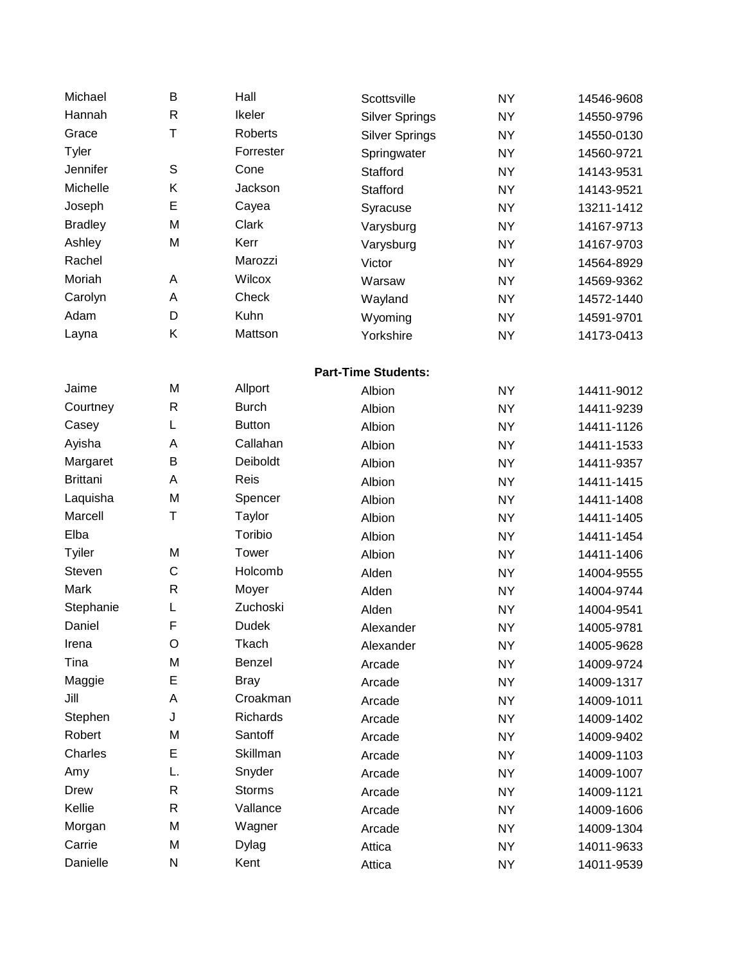| Michael         | B            | Hall          | Scottsville                | <b>NY</b> | 14546-9608 |
|-----------------|--------------|---------------|----------------------------|-----------|------------|
| Hannah          | $\mathsf{R}$ | Ikeler        | <b>Silver Springs</b>      | <b>NY</b> | 14550-9796 |
| Grace           | T            | Roberts       | <b>Silver Springs</b>      | <b>NY</b> | 14550-0130 |
| Tyler           |              | Forrester     | Springwater                | <b>NY</b> | 14560-9721 |
| Jennifer        | S            | Cone          | Stafford                   | <b>NY</b> | 14143-9531 |
| Michelle        | Κ            | Jackson       | Stafford                   | <b>NY</b> | 14143-9521 |
| Joseph          | E            | Cayea         | Syracuse                   | <b>NY</b> | 13211-1412 |
| <b>Bradley</b>  | M            | Clark         | Varysburg                  | <b>NY</b> | 14167-9713 |
| Ashley          | M            | Kerr          | Varysburg                  | <b>NY</b> | 14167-9703 |
| Rachel          |              | Marozzi       | Victor                     | <b>NY</b> | 14564-8929 |
| Moriah          | A            | Wilcox        | Warsaw                     | <b>NY</b> | 14569-9362 |
| Carolyn         | A            | Check         | Wayland                    | <b>NY</b> | 14572-1440 |
| Adam            | D            | Kuhn          | Wyoming                    | <b>NY</b> | 14591-9701 |
| Layna           | Κ            | Mattson       | Yorkshire                  | <b>NY</b> | 14173-0413 |
|                 |              |               | <b>Part-Time Students:</b> |           |            |
| Jaime           | M            | Allport       | Albion                     | <b>NY</b> | 14411-9012 |
| Courtney        | $\mathsf{R}$ | <b>Burch</b>  | Albion                     | <b>NY</b> | 14411-9239 |
| Casey           | L            | <b>Button</b> | Albion                     | <b>NY</b> | 14411-1126 |
| Ayisha          | A            | Callahan      | Albion                     | <b>NY</b> | 14411-1533 |
| Margaret        | B            | Deiboldt      | Albion                     | <b>NY</b> | 14411-9357 |
| <b>Brittani</b> | A            | Reis          | Albion                     | <b>NY</b> | 14411-1415 |
| Laquisha        | M            | Spencer       | Albion                     | <b>NY</b> | 14411-1408 |
| Marcell         | T            | Taylor        | Albion                     | <b>NY</b> | 14411-1405 |
| Elba            |              | Toribio       | Albion                     | <b>NY</b> | 14411-1454 |
| Tyiler          | M            | Tower         | Albion                     | <b>NY</b> | 14411-1406 |
| Steven          | C            | Holcomb       | Alden                      | <b>NY</b> | 14004-9555 |
| Mark            | $\mathsf{R}$ | Moyer         | Alden                      | <b>NY</b> | 14004-9744 |
| Stephanie       | L            | Zuchoski      | Alden                      | <b>NY</b> | 14004-9541 |
| Daniel          | F            | <b>Dudek</b>  | Alexander                  | <b>NY</b> | 14005-9781 |
| Irena           | O            | Tkach         | Alexander                  | <b>NY</b> | 14005-9628 |
| Tina            | M            | Benzel        | Arcade                     | <b>NY</b> | 14009-9724 |
| Maggie          | E            | <b>Bray</b>   | Arcade                     | <b>NY</b> | 14009-1317 |
| Jill            | A            | Croakman      | Arcade                     | <b>NY</b> | 14009-1011 |
| Stephen         | J            | Richards      | Arcade                     | <b>NY</b> | 14009-1402 |
| Robert          | M            | Santoff       | Arcade                     | <b>NY</b> | 14009-9402 |
| Charles         | E            | Skillman      | Arcade                     | <b>NY</b> | 14009-1103 |
| Amy             | L.           | Snyder        | Arcade                     | <b>NY</b> | 14009-1007 |
| <b>Drew</b>     | $\mathsf{R}$ | <b>Storms</b> | Arcade                     | <b>NY</b> | 14009-1121 |
| Kellie          | $\mathsf{R}$ | Vallance      | Arcade                     | <b>NY</b> | 14009-1606 |
| Morgan          | M            | Wagner        | Arcade                     | <b>NY</b> | 14009-1304 |
| Carrie          | M            | Dylag         | Attica                     | <b>NY</b> | 14011-9633 |
| Danielle        | N            | Kent          | Attica                     | <b>NY</b> | 14011-9539 |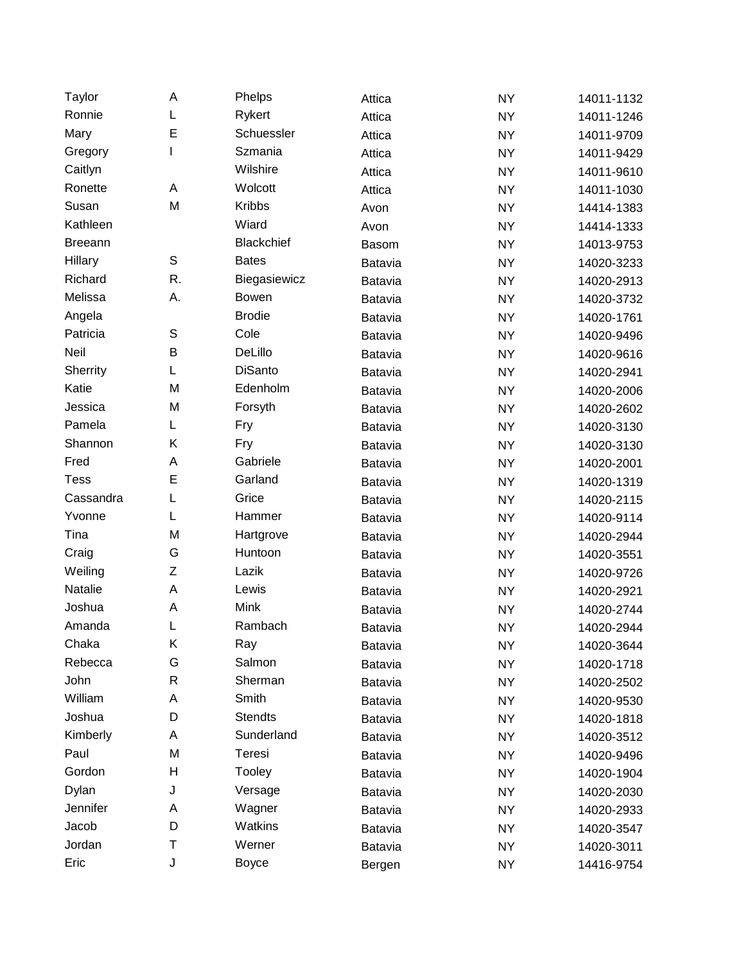| Taylor         | A            | Phelps         | Attica       | <b>NY</b> | 14011-1132 |
|----------------|--------------|----------------|--------------|-----------|------------|
| Ronnie         | L            | Rykert         | Attica       | <b>NY</b> | 14011-1246 |
| Mary           | E            | Schuessler     | Attica       | <b>NY</b> | 14011-9709 |
| Gregory        | I            | Szmania        | Attica       | <b>NY</b> | 14011-9429 |
| Caitlyn        |              | Wilshire       | Attica       | <b>NY</b> | 14011-9610 |
| Ronette        | A            | Wolcott        | Attica       | <b>NY</b> | 14011-1030 |
| Susan          | M            | <b>Kribbs</b>  | Avon         | <b>NY</b> | 14414-1383 |
| Kathleen       |              | Wiard          | Avon         | <b>NY</b> | 14414-1333 |
| <b>Breeann</b> |              | Blackchief     | <b>Basom</b> | <b>NY</b> | 14013-9753 |
| Hillary        | $\mathbb S$  | <b>Bates</b>   | Batavia      | <b>NY</b> | 14020-3233 |
| Richard        | R.           | Biegasiewicz   | Batavia      | <b>NY</b> | 14020-2913 |
| Melissa        | Α.           | <b>Bowen</b>   | Batavia      | <b>NY</b> | 14020-3732 |
| Angela         |              | <b>Brodie</b>  | Batavia      | <b>NY</b> | 14020-1761 |
| Patricia       | S            | Cole           | Batavia      | <b>NY</b> | 14020-9496 |
| Neil           | B            | DeLillo        | Batavia      | <b>NY</b> | 14020-9616 |
| Sherrity       | L            | <b>DiSanto</b> | Batavia      | <b>NY</b> | 14020-2941 |
| Katie          | M            | Edenholm       | Batavia      | <b>NY</b> | 14020-2006 |
| Jessica        | M            | Forsyth        | Batavia      | <b>NY</b> | 14020-2602 |
| Pamela         | L            | Fry            | Batavia      | <b>NY</b> | 14020-3130 |
| Shannon        | Κ            | Fry            | Batavia      | <b>NY</b> | 14020-3130 |
| Fred           | A            | Gabriele       | Batavia      | <b>NY</b> | 14020-2001 |
| <b>Tess</b>    | E            | Garland        | Batavia      | <b>NY</b> | 14020-1319 |
| Cassandra      | L            | Grice          | Batavia      | <b>NY</b> | 14020-2115 |
| Yvonne         | L            | Hammer         | Batavia      | <b>NY</b> | 14020-9114 |
| Tina           | M            | Hartgrove      | Batavia      | <b>NY</b> | 14020-2944 |
| Craig          | G            | Huntoon        | Batavia      | <b>NY</b> | 14020-3551 |
| Weiling        | Z            | Lazik          | Batavia      | <b>NY</b> | 14020-9726 |
| Natalie        | A            | Lewis          | Batavia      | <b>NY</b> | 14020-2921 |
| Joshua         | A            | Mink           | Batavia      | <b>NY</b> | 14020-2744 |
| Amanda         | L            | Rambach        | Batavia      | <b>NY</b> | 14020-2944 |
| Chaka          | Κ            | Ray            | Batavia      | <b>NY</b> | 14020-3644 |
| Rebecca        | G            | Salmon         | Batavia      | <b>NY</b> | 14020-1718 |
| John           | $\mathsf{R}$ | Sherman        | Batavia      | NY        | 14020-2502 |
| William        | A            | Smith          | Batavia      | NY        | 14020-9530 |
| Joshua         | D            | <b>Stendts</b> | Batavia      | NY        | 14020-1818 |
| Kimberly       | Α            | Sunderland     | Batavia      | NY        | 14020-3512 |
| Paul           | M            | Teresi         | Batavia      | NY        | 14020-9496 |
| Gordon         | Н            | Tooley         | Batavia      | NY        | 14020-1904 |
| Dylan          | J            | Versage        | Batavia      | NY        | 14020-2030 |
| Jennifer       | Α            | Wagner         | Batavia      | NY        | 14020-2933 |
| Jacob          | D            | Watkins        | Batavia      | NY        | 14020-3547 |
| Jordan         | Τ            | Werner         | Batavia      | <b>NY</b> | 14020-3011 |
| Eric           | J            | <b>Boyce</b>   | Bergen       | <b>NY</b> | 14416-9754 |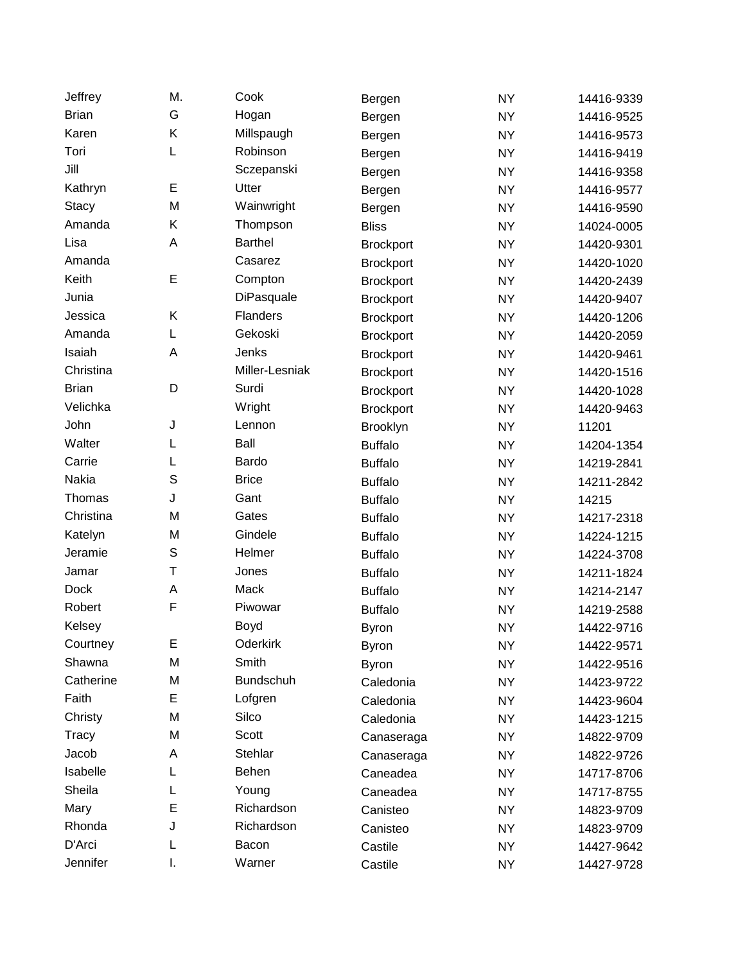| Jeffrey      | M.          | Cook             | Bergen           | <b>NY</b> | 14416-9339 |
|--------------|-------------|------------------|------------------|-----------|------------|
| <b>Brian</b> | G           | Hogan            | Bergen           | <b>NY</b> | 14416-9525 |
| Karen        | Κ           | Millspaugh       | Bergen           | <b>NY</b> | 14416-9573 |
| Tori         | L           | Robinson         | Bergen           | <b>NY</b> | 14416-9419 |
| Jill         |             | Sczepanski       | Bergen           | <b>NY</b> | 14416-9358 |
| Kathryn      | E           | Utter            | Bergen           | <b>NY</b> | 14416-9577 |
| <b>Stacy</b> | M           | Wainwright       | Bergen           | <b>NY</b> | 14416-9590 |
| Amanda       | Κ           | Thompson         | <b>Bliss</b>     | <b>NY</b> | 14024-0005 |
| Lisa         | A           | <b>Barthel</b>   | <b>Brockport</b> | <b>NY</b> | 14420-9301 |
| Amanda       |             | Casarez          | <b>Brockport</b> | <b>NY</b> | 14420-1020 |
| Keith        | E           | Compton          | <b>Brockport</b> | <b>NY</b> | 14420-2439 |
| Junia        |             | DiPasquale       | <b>Brockport</b> | <b>NY</b> | 14420-9407 |
| Jessica      | Κ           | Flanders         | <b>Brockport</b> | <b>NY</b> | 14420-1206 |
| Amanda       | L           | Gekoski          | <b>Brockport</b> | <b>NY</b> | 14420-2059 |
| Isaiah       | A           | Jenks            | <b>Brockport</b> | <b>NY</b> | 14420-9461 |
| Christina    |             | Miller-Lesniak   | <b>Brockport</b> | <b>NY</b> | 14420-1516 |
| <b>Brian</b> | D           | Surdi            | <b>Brockport</b> | <b>NY</b> | 14420-1028 |
| Velichka     |             | Wright           | <b>Brockport</b> | <b>NY</b> | 14420-9463 |
| John         | J           | Lennon           | Brooklyn         | <b>NY</b> | 11201      |
| Walter       | L           | Ball             | <b>Buffalo</b>   | <b>NY</b> | 14204-1354 |
| Carrie       | L           | Bardo            | <b>Buffalo</b>   | <b>NY</b> | 14219-2841 |
| Nakia        | $\mathsf S$ | <b>Brice</b>     | <b>Buffalo</b>   | <b>NY</b> | 14211-2842 |
| Thomas       | J           | Gant             | <b>Buffalo</b>   | <b>NY</b> | 14215      |
| Christina    | M           | Gates            | <b>Buffalo</b>   | <b>NY</b> | 14217-2318 |
| Katelyn      | M           | Gindele          | <b>Buffalo</b>   | <b>NY</b> | 14224-1215 |
| Jeramie      | S           | Helmer           | <b>Buffalo</b>   | <b>NY</b> | 14224-3708 |
| Jamar        | T           | Jones            | <b>Buffalo</b>   | <b>NY</b> | 14211-1824 |
| <b>Dock</b>  | A           | Mack             | <b>Buffalo</b>   | <b>NY</b> | 14214-2147 |
| Robert       | F           | Piwowar          | <b>Buffalo</b>   | <b>NY</b> | 14219-2588 |
| Kelsey       |             | Boyd             | <b>Byron</b>     | <b>NY</b> | 14422-9716 |
| Courtney     | E           | Oderkirk         | <b>Byron</b>     | <b>NY</b> | 14422-9571 |
| Shawna       | M           | Smith            | <b>Byron</b>     | <b>NY</b> | 14422-9516 |
| Catherine    | M           | <b>Bundschuh</b> | Caledonia        | NY.       | 14423-9722 |
| Faith        | E           | Lofgren          | Caledonia        | <b>NY</b> | 14423-9604 |
| Christy      | M           | Silco            | Caledonia        | NY.       | 14423-1215 |
| Tracy        | M           | Scott            | Canaseraga       | <b>NY</b> | 14822-9709 |
| Jacob        | A           | Stehlar          | Canaseraga       | NY.       | 14822-9726 |
| Isabelle     | L           | Behen            | Caneadea         | <b>NY</b> | 14717-8706 |
| Sheila       | L           | Young            | Caneadea         | NY.       | 14717-8755 |
| Mary         | E           | Richardson       | Canisteo         | <b>NY</b> | 14823-9709 |
| Rhonda       | J           | Richardson       | Canisteo         | NY.       | 14823-9709 |
| D'Arci       | L           | Bacon            | Castile          | <b>NY</b> | 14427-9642 |
| Jennifer     | I.          | Warner           | Castile          | <b>NY</b> | 14427-9728 |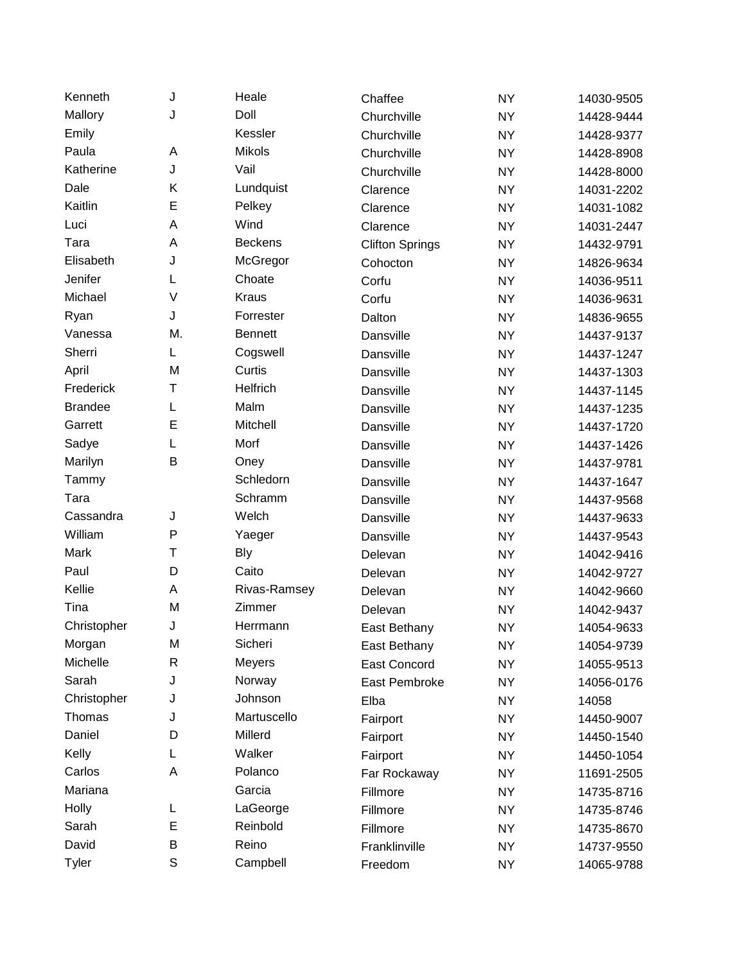| Kenneth        | J            | Heale          | Chaffee                | <b>NY</b> | 14030-9505 |
|----------------|--------------|----------------|------------------------|-----------|------------|
| Mallory        | J            | Doll           | Churchville            | <b>NY</b> | 14428-9444 |
| Emily          |              | Kessler        | Churchville            | <b>NY</b> | 14428-9377 |
| Paula          | А            | <b>Mikols</b>  | Churchville            | <b>NY</b> | 14428-8908 |
| Katherine      | J            | Vail           | Churchville            | <b>NY</b> | 14428-8000 |
| Dale           | Κ            | Lundquist      | Clarence               | <b>NY</b> | 14031-2202 |
| Kaitlin        | E            | Pelkey         | Clarence               | <b>NY</b> | 14031-1082 |
| Luci           | A            | Wind           | Clarence               | <b>NY</b> | 14031-2447 |
| Tara           | A            | <b>Beckens</b> | <b>Clifton Springs</b> | <b>NY</b> | 14432-9791 |
| Elisabeth      | J            | McGregor       | Cohocton               | <b>NY</b> | 14826-9634 |
| Jenifer        | L            | Choate         | Corfu                  | <b>NY</b> | 14036-9511 |
| Michael        | V            | <b>Kraus</b>   | Corfu                  | <b>NY</b> | 14036-9631 |
| Ryan           | J            | Forrester      | Dalton                 | <b>NY</b> | 14836-9655 |
| Vanessa        | M.           | <b>Bennett</b> | Dansville              | <b>NY</b> | 14437-9137 |
| Sherri         | L            | Cogswell       | Dansville              | <b>NY</b> | 14437-1247 |
| April          | M            | Curtis         | Dansville              | <b>NY</b> | 14437-1303 |
| Frederick      | Τ            | Helfrich       | Dansville              | <b>NY</b> | 14437-1145 |
| <b>Brandee</b> | L            | Malm           | Dansville              | <b>NY</b> | 14437-1235 |
| Garrett        | E            | Mitchell       | Dansville              | <b>NY</b> | 14437-1720 |
| Sadye          | L            | Morf           | Dansville              | <b>NY</b> | 14437-1426 |
| Marilyn        | B            | Oney           | Dansville              | <b>NY</b> | 14437-9781 |
| Tammy          |              | Schledorn      | Dansville              | <b>NY</b> | 14437-1647 |
| Tara           |              | Schramm        | Dansville              | <b>NY</b> | 14437-9568 |
| Cassandra      | J            | Welch          | Dansville              | <b>NY</b> | 14437-9633 |
| William        | $\mathsf{P}$ | Yaeger         | Dansville              | <b>NY</b> | 14437-9543 |
| Mark           | Т            | <b>Bly</b>     | Delevan                | <b>NY</b> | 14042-9416 |
| Paul           | D            | Caito          | Delevan                | <b>NY</b> | 14042-9727 |
| Kellie         | Α            | Rivas-Ramsey   | Delevan                | <b>NY</b> | 14042-9660 |
| Tina           | M            | Zimmer         | Delevan                | <b>NY</b> | 14042-9437 |
| Christopher    | J            | Herrmann       | East Bethany           | <b>NY</b> | 14054-9633 |
| Morgan         | M            | Sicheri        | East Bethany           | <b>NY</b> | 14054-9739 |
| Michelle       | R            | Meyers         | <b>East Concord</b>    | <b>NY</b> | 14055-9513 |
| Sarah          | J            | Norway         | East Pembroke          | NY.       | 14056-0176 |
| Christopher    | J            | Johnson        | Elba                   | <b>NY</b> | 14058      |
| Thomas         | J            | Martuscello    | Fairport               | <b>NY</b> | 14450-9007 |
| Daniel         | D            | Millerd        | Fairport               | <b>NY</b> | 14450-1540 |
| Kelly          | L            | Walker         | Fairport               | <b>NY</b> | 14450-1054 |
| Carlos         | Α            | Polanco        | Far Rockaway           | <b>NY</b> | 11691-2505 |
| Mariana        |              | Garcia         | Fillmore               | NY.       | 14735-8716 |
| Holly          | L            | LaGeorge       | Fillmore               | <b>NY</b> | 14735-8746 |
| Sarah          | E            | Reinbold       | Fillmore               | NY.       | 14735-8670 |
| David          | B            | Reino          | Franklinville          | <b>NY</b> | 14737-9550 |
| <b>Tyler</b>   | $\mathbb S$  | Campbell       | Freedom                | <b>NY</b> | 14065-9788 |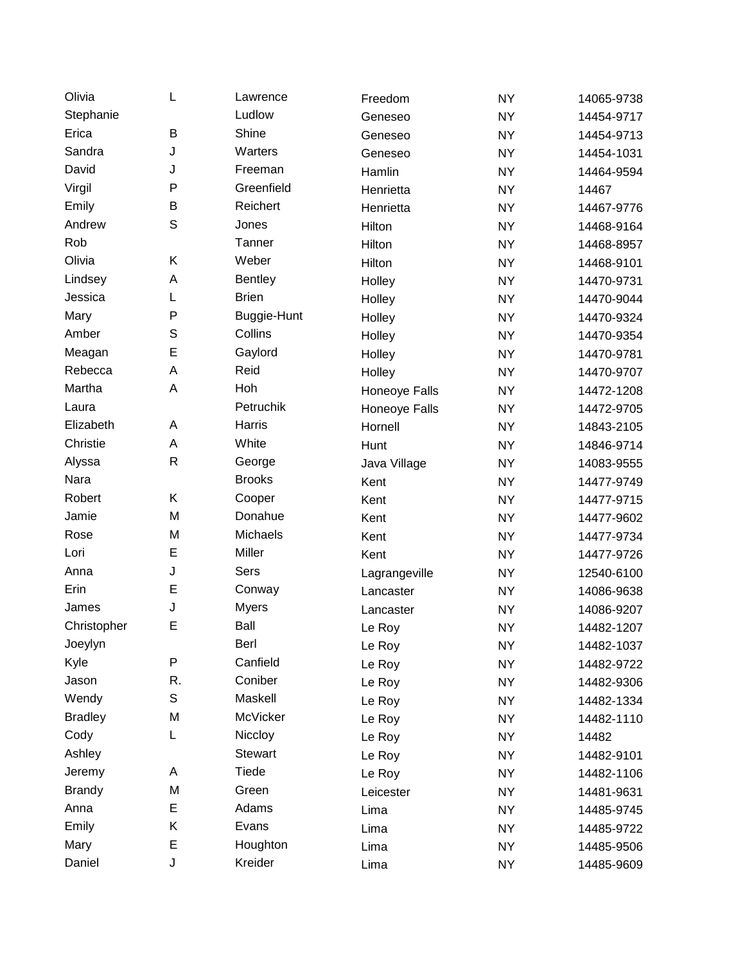| Olivia         | L            | Lawrence       | Freedom       | <b>NY</b> | 14065-9738 |
|----------------|--------------|----------------|---------------|-----------|------------|
| Stephanie      |              | Ludlow         | Geneseo       | <b>NY</b> | 14454-9717 |
| Erica          | B            | Shine          | Geneseo       | <b>NY</b> | 14454-9713 |
| Sandra         | J            | Warters        | Geneseo       | <b>NY</b> | 14454-1031 |
| David          | J            | Freeman        | Hamlin        | <b>NY</b> | 14464-9594 |
| Virgil         | P            | Greenfield     | Henrietta     | <b>NY</b> | 14467      |
| Emily          | B            | Reichert       | Henrietta     | <b>NY</b> | 14467-9776 |
| Andrew         | $\mathbb S$  | Jones          | Hilton        | <b>NY</b> | 14468-9164 |
| Rob            |              | Tanner         | Hilton        | <b>NY</b> | 14468-8957 |
| Olivia         | Κ            | Weber          | Hilton        | <b>NY</b> | 14468-9101 |
| Lindsey        | A            | <b>Bentley</b> | Holley        | <b>NY</b> | 14470-9731 |
| Jessica        | L            | <b>Brien</b>   | Holley        | <b>NY</b> | 14470-9044 |
| Mary           | P            | Buggie-Hunt    | Holley        | <b>NY</b> | 14470-9324 |
| Amber          | $\mathbb S$  | Collins        | Holley        | <b>NY</b> | 14470-9354 |
| Meagan         | E            | Gaylord        | Holley        | <b>NY</b> | 14470-9781 |
| Rebecca        | A            | Reid           | Holley        | <b>NY</b> | 14470-9707 |
| Martha         | A            | Hoh            | Honeoye Falls | <b>NY</b> | 14472-1208 |
| Laura          |              | Petruchik      | Honeoye Falls | <b>NY</b> | 14472-9705 |
| Elizabeth      | A            | Harris         | Hornell       | <b>NY</b> | 14843-2105 |
| Christie       | A            | White          | Hunt          | <b>NY</b> | 14846-9714 |
| Alyssa         | $\mathsf{R}$ | George         | Java Village  | <b>NY</b> | 14083-9555 |
| Nara           |              | <b>Brooks</b>  | Kent          | <b>NY</b> | 14477-9749 |
| Robert         | Κ            | Cooper         | Kent          | <b>NY</b> | 14477-9715 |
| Jamie          | M            | Donahue        | Kent          | <b>NY</b> | 14477-9602 |
| Rose           | M            | Michaels       | Kent          | <b>NY</b> | 14477-9734 |
| Lori           | E            | Miller         | Kent          | <b>NY</b> | 14477-9726 |
| Anna           | J            | Sers           | Lagrangeville | <b>NY</b> | 12540-6100 |
| Erin           | E            | Conway         | Lancaster     | <b>NY</b> | 14086-9638 |
| James          | J            | <b>Myers</b>   | Lancaster     | <b>NY</b> | 14086-9207 |
| Christopher    | E            | Ball           | Le Roy        | <b>NY</b> | 14482-1207 |
| Joeylyn        |              | Berl           | Le Roy        | <b>NY</b> | 14482-1037 |
| Kyle           | P            | Canfield       | Le Roy        | <b>NY</b> | 14482-9722 |
| Jason          | R.           | Coniber        | Le Roy        | NY.       | 14482-9306 |
| Wendy          | $\mathbb S$  | Maskell        | Le Roy        | <b>NY</b> | 14482-1334 |
| <b>Bradley</b> | M            | McVicker       | Le Roy        | NY        | 14482-1110 |
| Cody           | L            | Niccloy        | Le Roy        | <b>NY</b> | 14482      |
| Ashley         |              | <b>Stewart</b> | Le Roy        | <b>NY</b> | 14482-9101 |
| Jeremy         | Α            | Tiede          | Le Roy        | <b>NY</b> | 14482-1106 |
| <b>Brandy</b>  | M            | Green          | Leicester     | NY        | 14481-9631 |
| Anna           | Е            | Adams          | Lima          | <b>NY</b> | 14485-9745 |
| Emily          | Κ            | Evans          | Lima          | NY        | 14485-9722 |
| Mary           | E            | Houghton       | Lima          | <b>NY</b> | 14485-9506 |
| Daniel         | J            | Kreider        | Lima          | <b>NY</b> | 14485-9609 |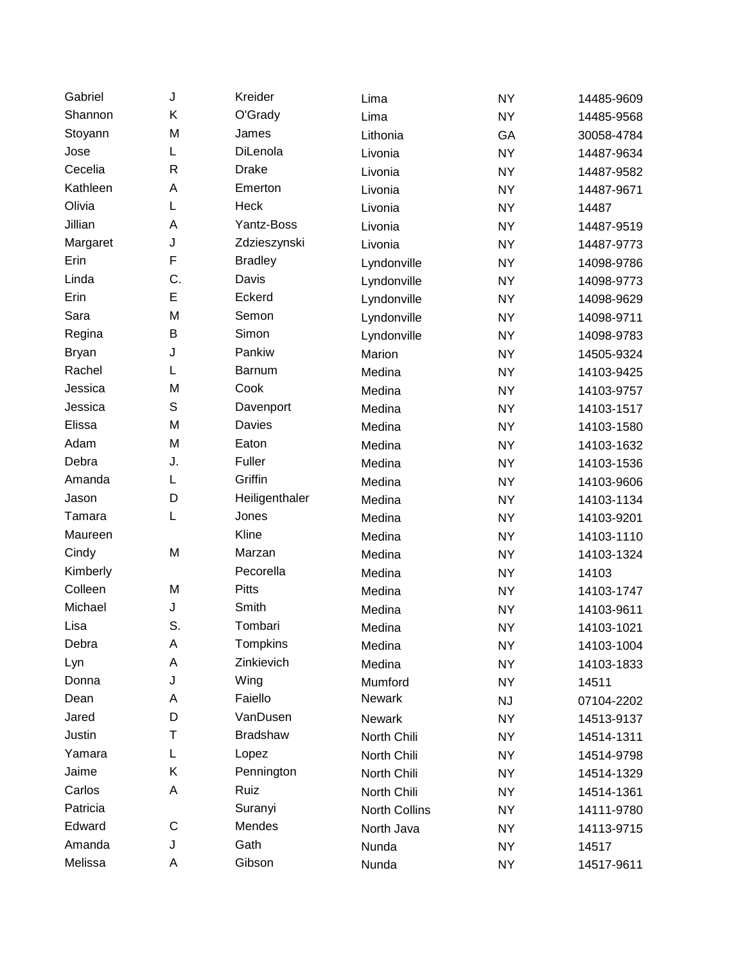| Gabriel      | J           | Kreider         | Lima                 | <b>NY</b> | 14485-9609 |
|--------------|-------------|-----------------|----------------------|-----------|------------|
| Shannon      | Κ           | O'Grady         | Lima                 | <b>NY</b> | 14485-9568 |
| Stoyann      | M           | James           | Lithonia             | GA        | 30058-4784 |
| Jose         | L           | DiLenola        | Livonia              | <b>NY</b> | 14487-9634 |
| Cecelia      | R           | <b>Drake</b>    | Livonia              | <b>NY</b> | 14487-9582 |
| Kathleen     | A           | Emerton         | Livonia              | <b>NY</b> | 14487-9671 |
| Olivia       | L           | Heck            | Livonia              | <b>NY</b> | 14487      |
| Jillian      | A           | Yantz-Boss      | Livonia              | <b>NY</b> | 14487-9519 |
| Margaret     | J           | Zdzieszynski    | Livonia              | <b>NY</b> | 14487-9773 |
| Erin         | F           | <b>Bradley</b>  | Lyndonville          | <b>NY</b> | 14098-9786 |
| Linda        | C.          | Davis           | Lyndonville          | <b>NY</b> | 14098-9773 |
| Erin         | E           | Eckerd          | Lyndonville          | <b>NY</b> | 14098-9629 |
| Sara         | M           | Semon           | Lyndonville          | <b>NY</b> | 14098-9711 |
| Regina       | B           | Simon           | Lyndonville          | <b>NY</b> | 14098-9783 |
| <b>Bryan</b> | J           | Pankiw          | Marion               | <b>NY</b> | 14505-9324 |
| Rachel       | L           | <b>Barnum</b>   | Medina               | <b>NY</b> | 14103-9425 |
| Jessica      | M           | Cook            | Medina               | <b>NY</b> | 14103-9757 |
| Jessica      | S           | Davenport       | Medina               | <b>NY</b> | 14103-1517 |
| Elissa       | M           | Davies          | Medina               | <b>NY</b> | 14103-1580 |
| Adam         | M           | Eaton           | Medina               | <b>NY</b> | 14103-1632 |
| Debra        | J.          | Fuller          | Medina               | <b>NY</b> | 14103-1536 |
| Amanda       | L           | Griffin         | Medina               | <b>NY</b> | 14103-9606 |
| Jason        | D           | Heiligenthaler  | Medina               | <b>NY</b> | 14103-1134 |
| Tamara       | L           | Jones           | Medina               | <b>NY</b> | 14103-9201 |
| Maureen      |             | Kline           | Medina               | <b>NY</b> | 14103-1110 |
| Cindy        | M           | Marzan          | Medina               | <b>NY</b> | 14103-1324 |
| Kimberly     |             | Pecorella       | Medina               | <b>NY</b> | 14103      |
| Colleen      | M           | Pitts           | Medina               | <b>NY</b> | 14103-1747 |
| Michael      | J           | Smith           | Medina               | <b>NY</b> | 14103-9611 |
| Lisa         | S.          | Tombari         | Medina               | <b>NY</b> | 14103-1021 |
| Debra        | А           | Tompkins        | Medina               | <b>NY</b> | 14103-1004 |
| Lyn          | А           | Zinkievich      | Medina               | <b>NY</b> | 14103-1833 |
| Donna        | J           | Wing            | Mumford              | <b>NY</b> | 14511      |
| Dean         | А           | Faiello         | Newark               | <b>NJ</b> | 07104-2202 |
| Jared        | D           | VanDusen        | Newark               | <b>NY</b> | 14513-9137 |
| Justin       | Т           | <b>Bradshaw</b> | North Chili          | <b>NY</b> | 14514-1311 |
| Yamara       | L           | Lopez           | North Chili          | NY.       | 14514-9798 |
| Jaime        | Κ           | Pennington      | North Chili          | <b>NY</b> | 14514-1329 |
| Carlos       | A           | Ruiz            | North Chili          | NY.       | 14514-1361 |
| Patricia     |             | Suranyi         | <b>North Collins</b> | <b>NY</b> | 14111-9780 |
| Edward       | $\mathsf C$ | Mendes          | North Java           | NY.       | 14113-9715 |
| Amanda       | J           | Gath            | Nunda                | <b>NY</b> | 14517      |
| Melissa      | Α           | Gibson          | Nunda                | <b>NY</b> | 14517-9611 |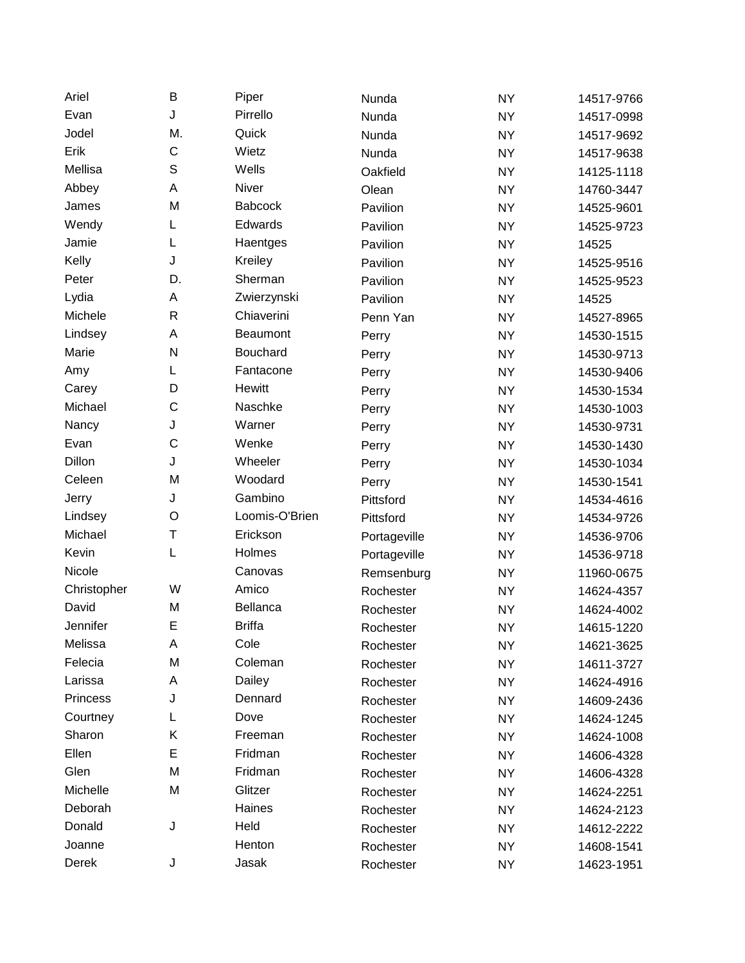| Ariel           | B            | Piper          | Nunda        | <b>NY</b> | 14517-9766 |
|-----------------|--------------|----------------|--------------|-----------|------------|
| Evan            | J            | Pirrello       | Nunda        | <b>NY</b> | 14517-0998 |
| Jodel           | M.           | Quick          | Nunda        | <b>NY</b> | 14517-9692 |
| Erik            | C            | Wietz          | Nunda        | <b>NY</b> | 14517-9638 |
| Mellisa         | S            | Wells          | Oakfield     | <b>NY</b> | 14125-1118 |
| Abbey           | Α            | Niver          | Olean        | <b>NY</b> | 14760-3447 |
| James           | M            | <b>Babcock</b> | Pavilion     | <b>NY</b> | 14525-9601 |
| Wendy           | L            | Edwards        | Pavilion     | <b>NY</b> | 14525-9723 |
| Jamie           | L            | Haentges       | Pavilion     | <b>NY</b> | 14525      |
| Kelly           | J            | Kreiley        | Pavilion     | <b>NY</b> | 14525-9516 |
| Peter           | D.           | Sherman        | Pavilion     | <b>NY</b> | 14525-9523 |
| Lydia           | Α            | Zwierzynski    | Pavilion     | <b>NY</b> | 14525      |
| Michele         | $\mathsf{R}$ | Chiaverini     | Penn Yan     | <b>NY</b> | 14527-8965 |
| Lindsey         | Α            | Beaumont       | Perry        | <b>NY</b> | 14530-1515 |
| Marie           | ${\sf N}$    | Bouchard       | Perry        | <b>NY</b> | 14530-9713 |
| Amy             | L            | Fantacone      | Perry        | <b>NY</b> | 14530-9406 |
| Carey           | D            | Hewitt         | Perry        | <b>NY</b> | 14530-1534 |
| Michael         | C            | Naschke        | Perry        | <b>NY</b> | 14530-1003 |
| Nancy           | J            | Warner         | Perry        | <b>NY</b> | 14530-9731 |
| Evan            | C            | Wenke          | Perry        | <b>NY</b> | 14530-1430 |
| Dillon          | J            | Wheeler        | Perry        | <b>NY</b> | 14530-1034 |
| Celeen          | M            | Woodard        | Perry        | <b>NY</b> | 14530-1541 |
| Jerry           | J            | Gambino        | Pittsford    | <b>NY</b> | 14534-4616 |
| Lindsey         | $\circ$      | Loomis-O'Brien | Pittsford    | <b>NY</b> | 14534-9726 |
| Michael         | Τ            | Erickson       | Portageville | <b>NY</b> | 14536-9706 |
| Kevin           | L            | Holmes         | Portageville | <b>NY</b> | 14536-9718 |
| Nicole          |              | Canovas        | Remsenburg   | <b>NY</b> | 11960-0675 |
| Christopher     | W            | Amico          | Rochester    | <b>NY</b> | 14624-4357 |
| David           | M            | Bellanca       | Rochester    | <b>NY</b> | 14624-4002 |
| Jennifer        | E            | <b>Briffa</b>  | Rochester    | <b>NY</b> | 14615-1220 |
| Melissa         | Α            | Cole           | Rochester    | <b>NY</b> | 14621-3625 |
| Felecia         | M            | Coleman        | Rochester    | <b>NY</b> | 14611-3727 |
| Larissa         | Α            | Dailey         | Rochester    | NY        | 14624-4916 |
| <b>Princess</b> | J            | Dennard        | Rochester    | <b>NY</b> | 14609-2436 |
| Courtney        | L            | Dove           | Rochester    | <b>NY</b> | 14624-1245 |
| Sharon          | Κ            | Freeman        | Rochester    | <b>NY</b> | 14624-1008 |
| Ellen           | E            | Fridman        | Rochester    | NY        | 14606-4328 |
| Glen            | M            | Fridman        | Rochester    | <b>NY</b> | 14606-4328 |
| Michelle        | M            | Glitzer        | Rochester    | <b>NY</b> | 14624-2251 |
| Deborah         |              | Haines         | Rochester    | <b>NY</b> | 14624-2123 |
| Donald          | J            | Held           | Rochester    | NY        | 14612-2222 |
| Joanne          |              | Henton         | Rochester    | <b>NY</b> | 14608-1541 |
| Derek           | J            | Jasak          | Rochester    | <b>NY</b> | 14623-1951 |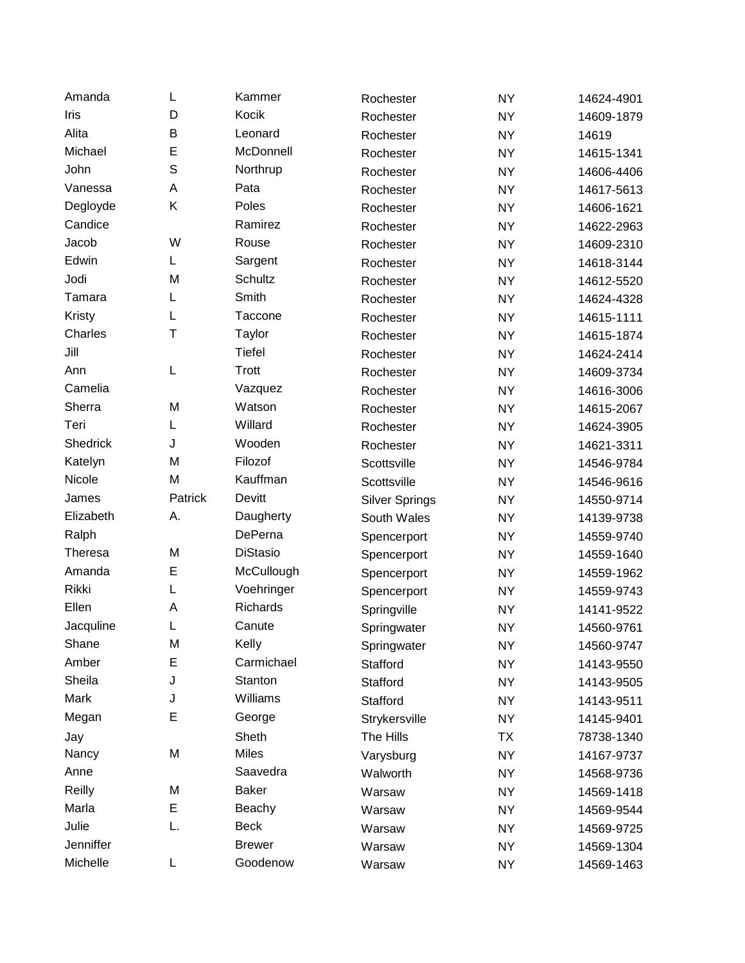| Amanda         | L           | Kammer          | Rochester             | <b>NY</b> | 14624-4901 |
|----------------|-------------|-----------------|-----------------------|-----------|------------|
| Iris           | D           | Kocik           | Rochester             | <b>NY</b> | 14609-1879 |
| Alita          | B           | Leonard         | Rochester             | <b>NY</b> | 14619      |
| Michael        | E           | McDonnell       | Rochester             | <b>NY</b> | 14615-1341 |
| John           | $\mathsf S$ | Northrup        | Rochester             | <b>NY</b> | 14606-4406 |
| Vanessa        | A           | Pata            | Rochester             | <b>NY</b> | 14617-5613 |
| Degloyde       | Κ           | Poles           | Rochester             | <b>NY</b> | 14606-1621 |
| Candice        |             | Ramirez         | Rochester             | <b>NY</b> | 14622-2963 |
| Jacob          | W           | Rouse           | Rochester             | <b>NY</b> | 14609-2310 |
| Edwin          | L           | Sargent         | Rochester             | <b>NY</b> | 14618-3144 |
| Jodi           | M           | Schultz         | Rochester             | <b>NY</b> | 14612-5520 |
| Tamara         | L           | Smith           | Rochester             | <b>NY</b> | 14624-4328 |
| Kristy         | L           | Taccone         | Rochester             | <b>NY</b> | 14615-1111 |
| Charles        | T           | Taylor          | Rochester             | <b>NY</b> | 14615-1874 |
| Jill           |             | <b>Tiefel</b>   | Rochester             | <b>NY</b> | 14624-2414 |
| Ann            | L           | Trott           | Rochester             | <b>NY</b> | 14609-3734 |
| Camelia        |             | Vazquez         | Rochester             | <b>NY</b> | 14616-3006 |
| Sherra         | M           | Watson          | Rochester             | <b>NY</b> | 14615-2067 |
| Teri           | L           | Willard         | Rochester             | <b>NY</b> | 14624-3905 |
| Shedrick       | J           | Wooden          | Rochester             | <b>NY</b> | 14621-3311 |
| Katelyn        | M           | Filozof         | Scottsville           | <b>NY</b> | 14546-9784 |
| Nicole         | M           | Kauffman        | Scottsville           | <b>NY</b> | 14546-9616 |
| James          | Patrick     | Devitt          | <b>Silver Springs</b> | <b>NY</b> | 14550-9714 |
| Elizabeth      | А.          | Daugherty       | South Wales           | <b>NY</b> | 14139-9738 |
| Ralph          |             | DePerna         | Spencerport           | <b>NY</b> | 14559-9740 |
| <b>Theresa</b> | M           | <b>DiStasio</b> | Spencerport           | <b>NY</b> | 14559-1640 |
| Amanda         | E           | McCullough      | Spencerport           | <b>NY</b> | 14559-1962 |
| Rikki          | L           | Voehringer      | Spencerport           | <b>NY</b> | 14559-9743 |
| Ellen          | A           | Richards        | Springville           | <b>NY</b> | 14141-9522 |
| Jacquline      | L           | Canute          | Springwater           | <b>NY</b> | 14560-9761 |
| Shane          | M           | Kelly           | Springwater           | <b>NY</b> | 14560-9747 |
| Amber          | E           | Carmichael      | Stafford              | <b>NY</b> | 14143-9550 |
| Sheila         | J           | Stanton         | Stafford              | <b>NY</b> | 14143-9505 |
| Mark           | J           | Williams        | Stafford              | <b>NY</b> | 14143-9511 |
| Megan          | Ε           | George          | Strykersville         | NY        | 14145-9401 |
| Jay            |             | Sheth           | The Hills             | <b>TX</b> | 78738-1340 |
| Nancy          | M           | Miles           | Varysburg             | <b>NY</b> | 14167-9737 |
| Anne           |             | Saavedra        | Walworth              | <b>NY</b> | 14568-9736 |
| Reilly         | M           | <b>Baker</b>    | Warsaw                | <b>NY</b> | 14569-1418 |
| Marla          | Е           | Beachy          | Warsaw                | <b>NY</b> | 14569-9544 |
| Julie          | L.          | <b>Beck</b>     | Warsaw                | NY        | 14569-9725 |
| Jenniffer      |             | <b>Brewer</b>   | Warsaw                | <b>NY</b> | 14569-1304 |
| Michelle       | L           | Goodenow        | Warsaw                | <b>NY</b> | 14569-1463 |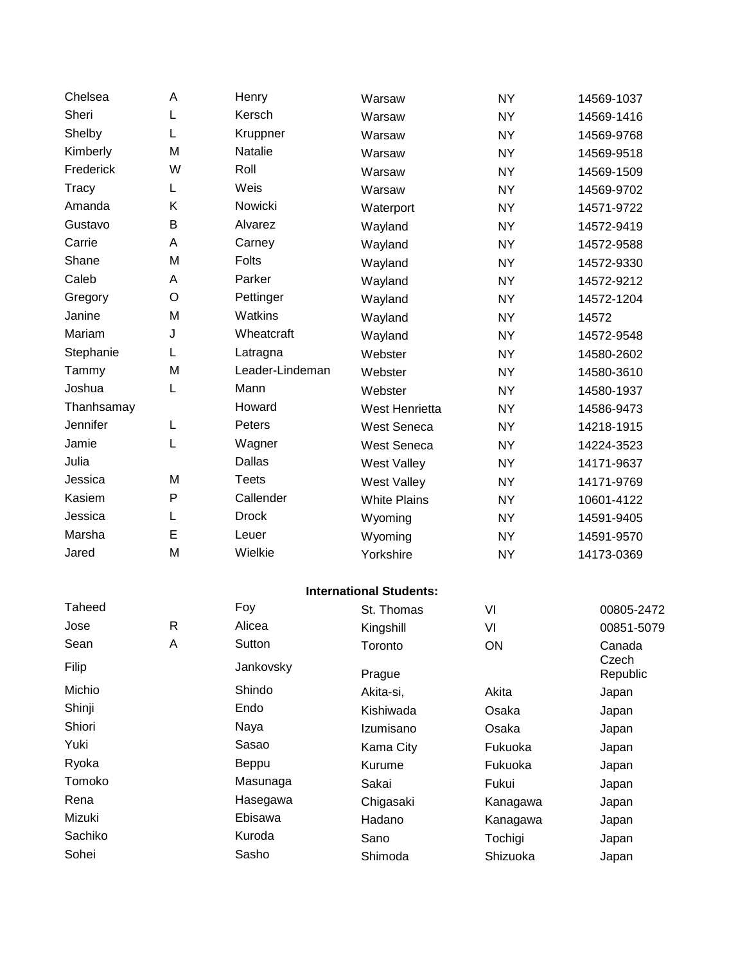| Chelsea    | A            | Henry           | Warsaw                         | <b>NY</b> | 14569-1037        |
|------------|--------------|-----------------|--------------------------------|-----------|-------------------|
| Sheri      | L            | Kersch          | Warsaw                         | <b>NY</b> | 14569-1416        |
| Shelby     | L            | Kruppner        | Warsaw                         | <b>NY</b> | 14569-9768        |
| Kimberly   | M            | Natalie         | Warsaw                         | <b>NY</b> | 14569-9518        |
| Frederick  | W            | Roll            | Warsaw                         | <b>NY</b> | 14569-1509        |
| Tracy      | L            | Weis            | Warsaw                         | <b>NY</b> | 14569-9702        |
| Amanda     | Κ            | Nowicki         | Waterport                      | <b>NY</b> | 14571-9722        |
| Gustavo    | B            | Alvarez         | Wayland                        | <b>NY</b> | 14572-9419        |
| Carrie     | Α            | Carney          | Wayland                        | <b>NY</b> | 14572-9588        |
| Shane      | M            | Folts           | Wayland                        | <b>NY</b> | 14572-9330        |
| Caleb      | Α            | Parker          | Wayland                        | <b>NY</b> | 14572-9212        |
| Gregory    | $\circ$      | Pettinger       | Wayland                        | <b>NY</b> | 14572-1204        |
| Janine     | M            | Watkins         | Wayland                        | <b>NY</b> | 14572             |
| Mariam     | J            | Wheatcraft      | Wayland                        | <b>NY</b> | 14572-9548        |
| Stephanie  | L            | Latragna        | Webster                        | <b>NY</b> | 14580-2602        |
| Tammy      | M            | Leader-Lindeman | Webster                        | <b>NY</b> | 14580-3610        |
| Joshua     | L            | Mann            | Webster                        | <b>NY</b> | 14580-1937        |
| Thanhsamay |              | Howard          | West Henrietta                 | <b>NY</b> | 14586-9473        |
| Jennifer   | L            | Peters          | <b>West Seneca</b>             | <b>NY</b> | 14218-1915        |
| Jamie      | L            | Wagner          | <b>West Seneca</b>             | <b>NY</b> | 14224-3523        |
| Julia      |              | <b>Dallas</b>   | <b>West Valley</b>             | <b>NY</b> | 14171-9637        |
| Jessica    | M            | <b>Teets</b>    | <b>West Valley</b>             | <b>NY</b> | 14171-9769        |
| Kasiem     | $\mathsf{P}$ | Callender       | <b>White Plains</b>            | <b>NY</b> | 10601-4122        |
| Jessica    | L            | <b>Drock</b>    | Wyoming                        | <b>NY</b> | 14591-9405        |
| Marsha     | E            | Leuer           | Wyoming                        | <b>NY</b> | 14591-9570        |
| Jared      | M            | Wielkie         | Yorkshire                      | <b>NY</b> | 14173-0369        |
|            |              |                 | <b>International Students:</b> |           |                   |
| Taheed     |              | Foy             | St. Thomas                     | VI        | 00805-2472        |
| Jose       | R            | Alicea          | Kingshill                      | VI        | 00851-5079        |
| Sean       | Α            | Sutton          | Toronto                        | ON        | Canada            |
| Filip      |              | Jankovsky       | Prague                         |           | Czech<br>Republic |
| Michio     |              | Shindo          | Akita-si,                      | Akita     | Japan             |
| Shinji     |              | Endo            | Kishiwada                      | Osaka     | Japan             |
| Shiori     |              | Naya            | Izumisano                      | Osaka     | Japan             |
| Yuki       |              | Sasao           | Kama City                      | Fukuoka   | Japan             |
| Ryoka      |              | Beppu           | Kurume                         | Fukuoka   | Japan             |
| Tomoko     |              | Masunaga        | Sakai                          | Fukui     | Japan             |
| Rena       |              | Hasegawa        | Chigasaki                      | Kanagawa  | Japan             |
| Mizuki     |              | Ebisawa         | Hadano                         | Kanagawa  | Japan             |
| Sachiko    |              | Kuroda          | Sano                           | Tochigi   | Japan             |
| Sohei      |              | Sasho           | Shimoda                        | Shizuoka  | Japan             |